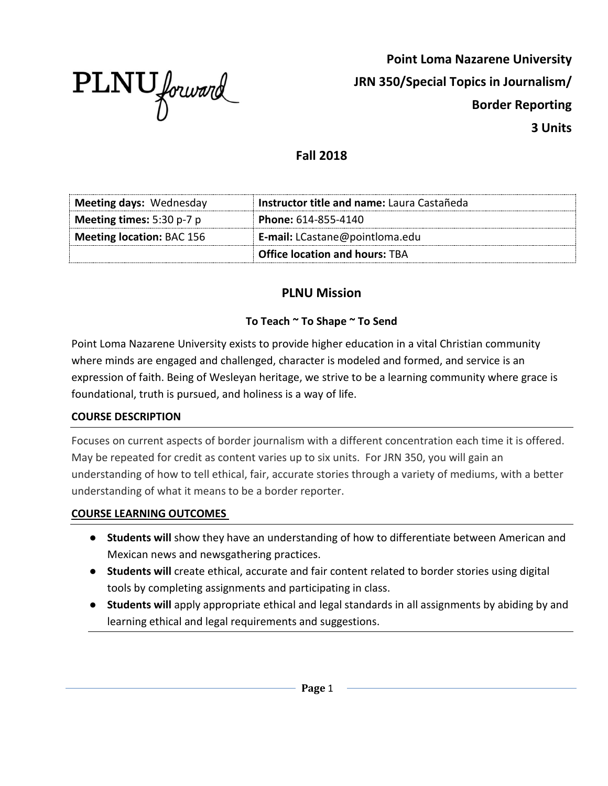

**Point Loma Nazarene University JRN 350/Special Topics in Journalism/ Border Reporting 3 Units**

## **Fall 2018**

| Meeting days: Wednesday            | Instructor title and name: Laura Castañeda |
|------------------------------------|--------------------------------------------|
| <b>Meeting times:</b> $5:30 p-7 p$ | Phone: 614-855-4140                        |
| Meeting location: BAC 156          | <b>E-mail:</b> LCastane@pointloma.edu      |
|                                    | <b>Office location and hours: TBA</b>      |

# **PLNU Mission**

## **To Teach ~ To Shape ~ To Send**

Point Loma Nazarene University exists to provide higher education in a vital Christian community where minds are engaged and challenged, character is modeled and formed, and service is an expression of faith. Being of Wesleyan heritage, we strive to be a learning community where grace is foundational, truth is pursued, and holiness is a way of life.

### **COURSE DESCRIPTION**

Focuses on current aspects of border journalism with a different concentration each time it is offered. May be repeated for credit as content varies up to six units. For JRN 350, you will gain an understanding of how to tell ethical, fair, accurate stories through a variety of mediums, with a better understanding of what it means to be a border reporter.

#### **COURSE LEARNING OUTCOMES**

- **Students will** show they have an understanding of how to differentiate between American and Mexican news and newsgathering practices.
- **Students will** create ethical, accurate and fair content related to border stories using digital tools by completing assignments and participating in class.
- **Students will** apply appropriate ethical and legal standards in all assignments by abiding by and learning ethical and legal requirements and suggestions.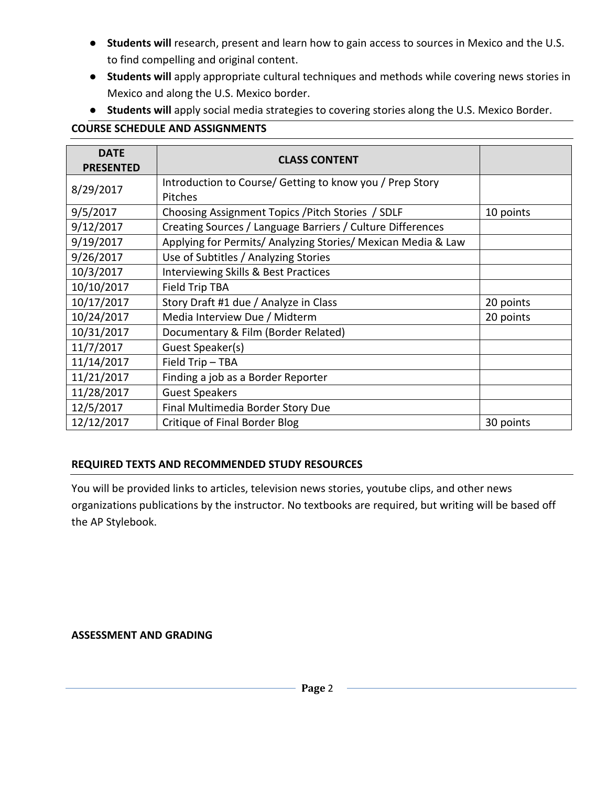- **Students will** research, present and learn how to gain access to sources in Mexico and the U.S. to find compelling and original content.
- **Students will** apply appropriate cultural techniques and methods while covering news stories in Mexico and along the U.S. Mexico border.
- **Students will** apply social media strategies to covering stories along the U.S. Mexico Border.

## **COURSE SCHEDULE AND ASSIGNMENTS**

| <b>DATE</b><br><b>PRESENTED</b> | <b>CLASS CONTENT</b>                                         |           |
|---------------------------------|--------------------------------------------------------------|-----------|
| 8/29/2017                       | Introduction to Course/ Getting to know you / Prep Story     |           |
|                                 | Pitches                                                      |           |
| 9/5/2017                        | Choosing Assignment Topics / Pitch Stories / SDLF            | 10 points |
| 9/12/2017                       | Creating Sources / Language Barriers / Culture Differences   |           |
| 9/19/2017                       | Applying for Permits/ Analyzing Stories/ Mexican Media & Law |           |
| 9/26/2017                       | Use of Subtitles / Analyzing Stories                         |           |
| 10/3/2017                       | Interviewing Skills & Best Practices                         |           |
| 10/10/2017                      | Field Trip TBA                                               |           |
| 10/17/2017                      | Story Draft #1 due / Analyze in Class                        | 20 points |
| 10/24/2017                      | Media Interview Due / Midterm                                | 20 points |
| 10/31/2017                      | Documentary & Film (Border Related)                          |           |
| 11/7/2017                       | Guest Speaker(s)                                             |           |
| 11/14/2017                      | Field Trip - TBA                                             |           |
| 11/21/2017                      | Finding a job as a Border Reporter                           |           |
| 11/28/2017                      | <b>Guest Speakers</b>                                        |           |
| 12/5/2017                       | Final Multimedia Border Story Due                            |           |
| 12/12/2017                      | Critique of Final Border Blog                                | 30 points |

### **REQUIRED TEXTS AND RECOMMENDED STUDY RESOURCES**

You will be provided links to articles, television news stories, youtube clips, and other news organizations publications by the instructor. No textbooks are required, but writing will be based off the AP Stylebook.

**ASSESSMENT AND GRADING**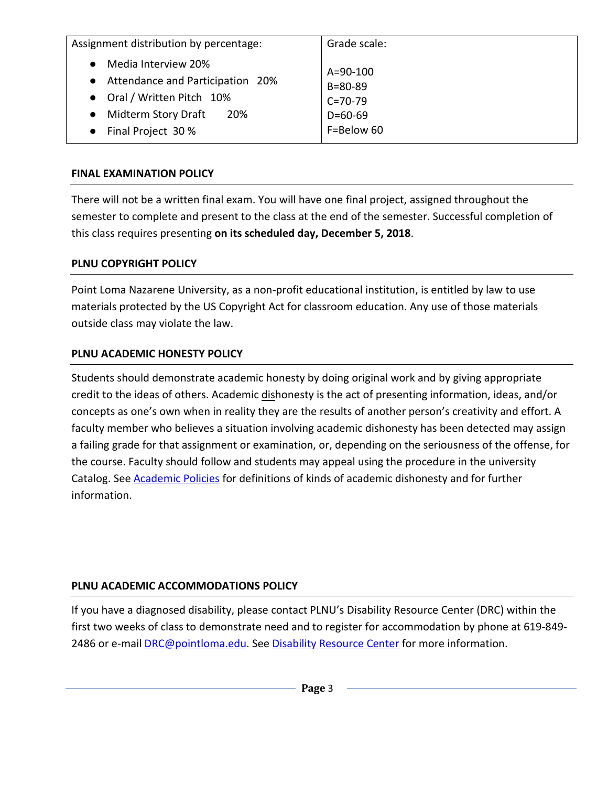| Assignment distribution by percentage:                    | Grade scale:                    |
|-----------------------------------------------------------|---------------------------------|
| Media Interview 20%<br>• Attendance and Participation 20% | $A = 90 - 100$<br>$B = 80 - 89$ |
| • Oral / Written Pitch 10%                                | $C = 70-79$                     |
| Midterm Story Draft<br>20%<br>$\bullet$                   | $D=60-69$                       |
| Final Project 30 %                                        | F=Below 60                      |

#### **FINAL EXAMINATION POLICY**

There will not be a written final exam. You will have one final project, assigned throughout the semester to complete and present to the class at the end of the semester. Successful completion of this class requires presenting **on its scheduled day, December 5, 2018**.

## **PLNU COPYRIGHT POLICY**

Point Loma Nazarene University, as a non-profit educational institution, is entitled by law to use materials protected by the US Copyright Act for classroom education. Any use of those materials outside class may violate the law.

### **PLNU ACADEMIC HONESTY POLICY**

Students should demonstrate academic honesty by doing original work and by giving appropriate credit to the ideas of others. Academic dishonesty is the act of presenting information, ideas, and/or concepts as one's own when in reality they are the results of another person's creativity and effort. A faculty member who believes a situation involving academic dishonesty has been detected may assign a failing grade for that assignment or examination, or, depending on the seriousness of the offense, for the course. Faculty should follow and students may appeal using the procedure in the university Catalog. See [Academic Policies](http://catalog.pointloma.edu/content.php?catoid=18&navoid=1278) for definitions of kinds of academic dishonesty and for further information.

### **PLNU ACADEMIC ACCOMMODATIONS POLICY**

If you have a diagnosed disability, please contact PLNU's Disability Resource Center (DRC) within the first two weeks of class to demonstrate need and to register for accommodation by phone at 619-849- 2486 or e-mail [DRC@pointloma.edu.](mailto:DRC@pointloma.edu) See [Disability Resource Center](http://www.pointloma.edu/experience/offices/administrative-offices/academic-advising-office/disability-resource-center) for more information.